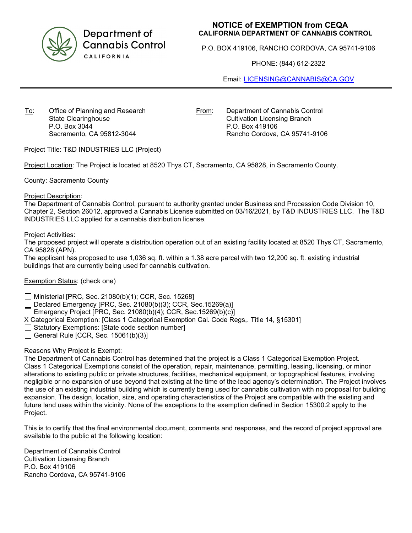

Department of **Cannabis Control** CALIFORNIA

## **NOTICE of EXEMPTION from CEQA CALIFORNIA DEPARTMENT OF CANNABIS CONTROL**

P.O. BOX 419106, RANCHO CORDOVA, CA 95741-9106

PHONE: (844) 612-2322

Email: [LICENSING@CANNABIS@CA.GOV](mailto:LICENSING@CANNABIS@CA.GOV)

To: Office of Planning and Research State Clearinghouse P.O. Box 3044 Sacramento, CA 95812-3044

From: Department of Cannabis Control Cultivation Licensing Branch P.O. Box 419106 Rancho Cordova, CA 95741-9106

Project Title: T&D INDUSTRIES LLC (Project)

Project Location: The Project is located at 8520 Thys CT, Sacramento, CA 95828, in Sacramento County.

County: Sacramento County

Project Description:

The Department of Cannabis Control, pursuant to authority granted under Business and Procession Code Division 10, Chapter 2, Section 26012, approved a Cannabis License submitted on 03/16/2021, by T&D INDUSTRIES LLC. The T&D INDUSTRIES LLC applied for a cannabis distribution license.

Project Activities:

The proposed project will operate a distribution operation out of an existing facility located at 8520 Thys CT, Sacramento, CA 95828 (APN).

The applicant has proposed to use 1,036 sq. ft. within a 1.38 acre parcel with two 12,200 sq. ft. existing industrial buildings that are currently being used for cannabis cultivation.

## Exemption Status: (check one)

Ministerial [PRC, Sec. 21080(b)(1); CCR, Sec. 15268]

Declared Emergency [PRC, Sec. 21080(b)(3); CCR, Sec.15269(a)]

Emergency Project [PRC, Sec. 21080(b)(4); CCR, Sec.15269(b)(c)]

X Categorical Exemption: [Class 1 Categorical Exemption Cal. Code Regs,. Title 14, §15301]

 $\Box$  Statutory Exemptions: [State code section number]

General Rule [CCR, Sec.  $15061(b)(3)$ ]

## Reasons Why Project is Exempt:

The Department of Cannabis Control has determined that the project is a Class 1 Categorical Exemption Project. Class 1 Categorical Exemptions consist of the operation, repair, maintenance, permitting, leasing, licensing, or minor alterations to existing public or private structures, facilities, mechanical equipment, or topographical features, involving negligible or no expansion of use beyond that existing at the time of the lead agency's determination. The Project involves the use of an existing industrial building which is currently being used for cannabis cultivation with no proposal for building expansion. The design, location, size, and operating characteristics of the Project are compatible with the existing and future land uses within the vicinity. None of the exceptions to the exemption defined in Section 15300.2 apply to the Project.

This is to certify that the final environmental document, comments and responses, and the record of project approval are available to the public at the following location:

Department of Cannabis Control Cultivation Licensing Branch P.O. Box 419106 Rancho Cordova, CA 95741-9106